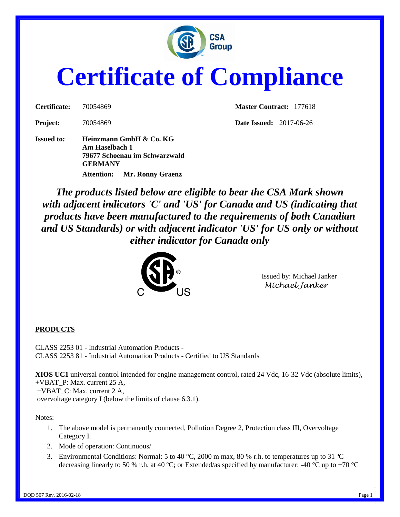

# **Certificate of Compliance**

| Certificate:    | 70054869 |
|-----------------|----------|
| <b>Project:</b> | 70054869 |

**Issued to: Heinzmann GmbH & Co. KG Am Haselbach 1 79677 Schoenau im Schwarzwald GERMANY Attention: Mr. Ronny Graenz**

**Master Contract:** 177618

**Pate Issued:** 2017-06-26

*The products listed below are eligible to bear the CSA Mark shown with adjacent indicators 'C' and 'US' for Canada and US (indicating that products have been manufactured to the requirements of both Canadian and US Standards) or with adjacent indicator 'US' for US only or without either indicator for Canada only* 



Issued by: Michael Janker *Michael Janker*

## **PRODUCTS**

CLASS 2253 01 - Industrial Automation Products - CLASS 2253 81 - Industrial Automation Products - Certified to US Standards

**XIOS UC1** universal control intended for engine management control, rated 24 Vdc, 16-32 Vdc (absolute limits), +VBAT\_P: Max. current 25 A, +VBAT\_C: Max. current 2 A,

overvoltage category I (below the limits of clause 6.3.1).

#### Notes:

- 1. The above model is permanently connected, Pollution Degree 2, Protection class III, Overvoltage Category I.
- 2. Mode of operation: Continuous/
- 3. Environmental Conditions: Normal: 5 to 40 °C, 2000 m max, 80 % r.h. to temperatures up to 31 °C decreasing linearly to 50 % r.h. at 40 °C; or Extended/as specified by manufacturer: -40 °C up to +70 °C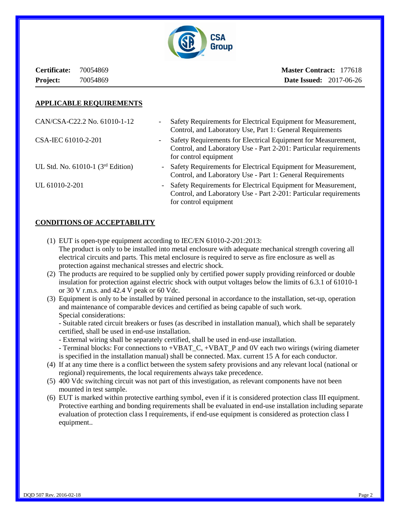

**Certificate:** 70054869 **Project:** 70054869

**Master Contract:** 177618 **Date Issued:** 2017-06-26

#### **APPLICABLE REQUIREMENTS**

| CAN/CSA-C22.2 No. 61010-1-12                    | Safety Requirements for Electrical Equipment for Measurement,<br>-<br>Control, and Laboratory Use, Part 1: General Requirements                                  |
|-------------------------------------------------|------------------------------------------------------------------------------------------------------------------------------------------------------------------|
| CSA-IEC 61010-2-201                             | Safety Requirements for Electrical Equipment for Measurement,<br>-<br>Control, and Laboratory Use - Part 2-201: Particular requirements<br>for control equipment |
| UL Std. No. $61010-1$ (3 <sup>rd</sup> Edition) | - Safety Requirements for Electrical Equipment for Measurement,<br>Control, and Laboratory Use - Part 1: General Requirements                                    |
| UL 61010-2-201                                  | - Safety Requirements for Electrical Equipment for Measurement,<br>Control, and Laboratory Use - Part 2-201: Particular requirements<br>for control equipment    |

### **CONDITIONS OF ACCEPTABILITY**

- (1) EUT is open-type equipment according to IEC/EN 61010-2-201:2013: The product is only to be installed into metal enclosure with adequate mechanical strength covering all electrical circuits and parts. This metal enclosure is required to serve as fire enclosure as well as protection against mechanical stresses and electric shock.
- (2) The products are required to be supplied only by certified power supply providing reinforced or double insulation for protection against electric shock with output voltages below the limits of 6.3.1 of 61010-1 or 30 V r.m.s. and 42.4 V peak or 60 Vdc.
- (3) Equipment is only to be installed by trained personal in accordance to the installation, set-up, operation and maintenance of comparable devices and certified as being capable of such work. Special considerations:

- Suitable rated circuit breakers or fuses (as described in installation manual), which shall be separately certified, shall be used in end-use installation.

- External wiring shall be separately certified, shall be used in end-use installation.
- Terminal blocks: For connections to +VBAT\_C, +VBAT\_P and 0V each two wirings (wiring diameter is specified in the installation manual) shall be connected. Max. current 15 A for each conductor.
- (4) If at any time there is a conflict between the system safety provisions and any relevant local (national or regional) requirements, the local requirements always take precedence.
- (5) 400 Vdc switching circuit was not part of this investigation, as relevant components have not been mounted in test sample.
- (6) EUT is marked within protective earthing symbol, even if it is considered protection class III equipment. Protective earthing and bonding requirements shall be evaluated in end-use installation including separate evaluation of protection class I requirements, if end-use equipment is considered as protection class I equipment..